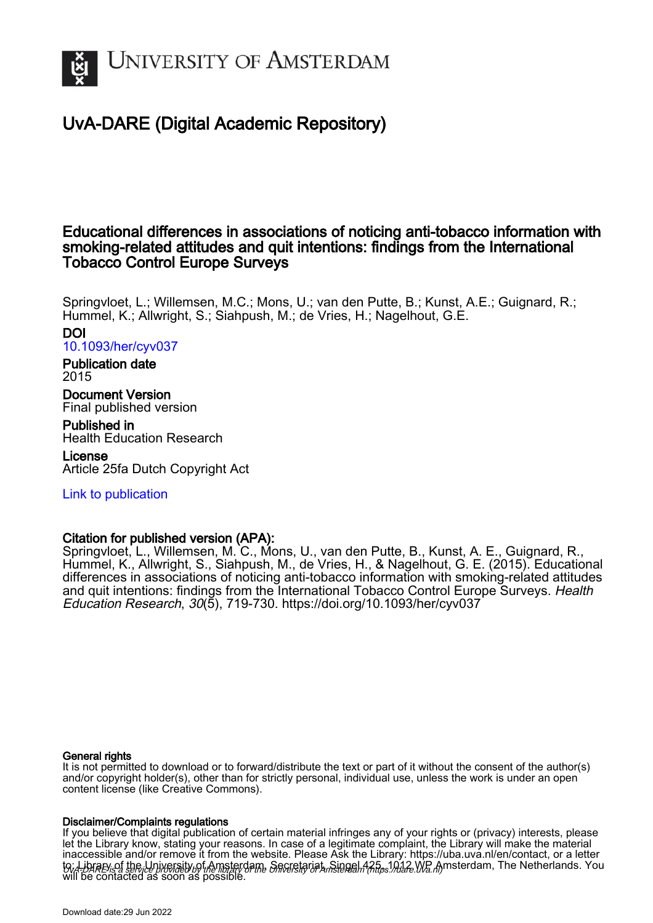

# UvA-DARE (Digital Academic Repository)

# Educational differences in associations of noticing anti-tobacco information with smoking-related attitudes and quit intentions: findings from the International Tobacco Control Europe Surveys

Springvloet, L.; Willemsen, M.C.; Mons, U.; van den Putte, B.; Kunst, A.E.; Guignard, R.; Hummel, K.; Allwright, S.; Siahpush, M.; de Vries, H.; Nagelhout, G.E.

#### DOI [10.1093/her/cyv037](https://doi.org/10.1093/her/cyv037)

### Publication date 2015

Document Version Final published version

Published in Health Education Research

License Article 25fa Dutch Copyright Act

# [Link to publication](https://dare.uva.nl/personal/pure/en/publications/educational-differences-in-associations-of-noticing-antitobacco-information-with-smokingrelated-attitudes-and-quit-intentions-findings-from-the-international-tobacco-control-europe-surveys(19d2bb50-8c6d-4766-934b-c49c5b57b970).html)

# Citation for published version (APA):

Springvloet, L., Willemsen, M. C., Mons, U., van den Putte, B., Kunst, A. E., Guignard, R., Hummel, K., Allwright, S., Siahpush, M., de Vries, H., & Nagelhout, G. E. (2015). Educational differences in associations of noticing anti-tobacco information with smoking-related attitudes and quit intentions: findings from the International Tobacco Control Europe Surveys. Health Education Research, 30(5), 719-730. <https://doi.org/10.1093/her/cyv037>

### General rights

It is not permitted to download or to forward/distribute the text or part of it without the consent of the author(s) and/or copyright holder(s), other than for strictly personal, individual use, unless the work is under an open content license (like Creative Commons).

### Disclaimer/Complaints regulations

UvA-DARE is a service provided by the library of the University of Amsterdam (http*s*://dare.uva.nl) If you believe that digital publication of certain material infringes any of your rights or (privacy) interests, please let the Library know, stating your reasons. In case of a legitimate complaint, the Library will make the material inaccessible and/or remove it from the website. Please Ask the Library: https://uba.uva.nl/en/contact, or a letter to: Library of the Linixersity of Amsterdam, Secretariat, Singel 425, 1012 WB Amsterdam, The Netherlands. You will be contacted as soon as possible.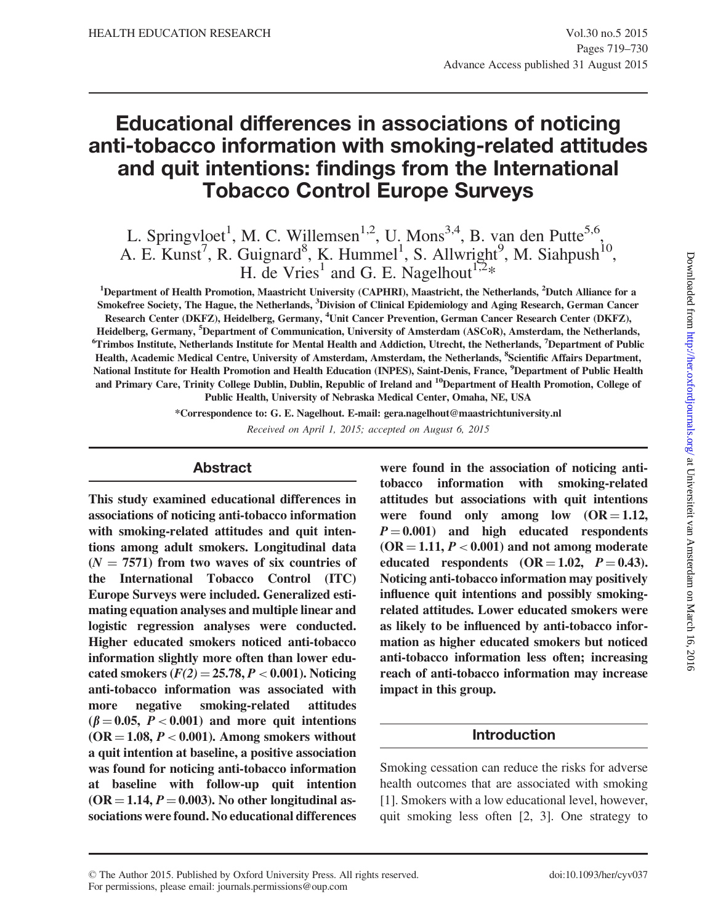# Educational differences in associations of noticing anti-tobacco information with smoking-related attitudes and quit intentions: findings from the International Tobacco Control Europe Surveys

L. Springvloet<sup>1</sup>, M. C. Willemsen<sup>1,2</sup>, U. Mons<sup>3,4</sup>, B. van den Putte<sup>5,6</sup>, A. E. Kunst<sup>7</sup>, R. Guignard<sup>8</sup>, K. Hummel<sup>1</sup>, S. Allwright<sup>9</sup>, M. Siahpush<sup>10</sup>, H. de Vries<sup>1</sup> and G. E. Nagelhout<sup>1,2</sup>\*

<sup>1</sup>Department of Health Promotion, Maastricht University (CAPHRI), Maastricht, the Netherlands, <sup>2</sup>Dutch Alliance for a Smokefree Society, The Hague, the Netherlands, <sup>3</sup> Division of Clinical Epidemiology and Aging Research, German Cancer Research Center (DKFZ), Heidelberg, Germany, <sup>4</sup> Unit Cancer Prevention, German Cancer Research Center (DKFZ), Heidelberg, Germany, <sup>5</sup> Department of Communication, University of Amsterdam (ASCoR), Amsterdam, the Netherlands, 6 Trimbos Institute, Netherlands Institute for Mental Health and Addiction, Utrecht, the Netherlands, <sup>7</sup> Department of Public Health, Academic Medical Centre, University of Amsterdam, Amsterdam, the Netherlands, <sup>8</sup> Scientific Affairs Department, National Institute for Health Promotion and Health Education (INPES), Saint-Denis, France, <sup>9</sup>Department of Public Health and Primary Care, Trinity College Dublin, Dublin, Republic of Ireland and <sup>10</sup>Department of Health Promotion, College of Public Health, University of Nebraska Medical Center, Omaha, NE, USA

> \*Correspondence to: G. E. Nagelhout. E-mail: gera.nagelhout@maastrichtuniversity.nl Received on April 1, 2015; accepted on August 6, 2015

### Abstract

This study examined educational differences in associations of noticing anti-tobacco information with smoking-related attitudes and quit intentions among adult smokers. Longitudinal data  $(N = 7571)$  from two waves of six countries of the International Tobacco Control (ITC) Europe Surveys were included. Generalized estimating equation analyses and multiple linear and logistic regression analyses were conducted. Higher educated smokers noticed anti-tobacco information slightly more often than lower educated smokers  $(F(2) = 25.78, P < 0.001)$ . Noticing anti-tobacco information was associated with more negative smoking-related attitudes  $(\beta = 0.05, P < 0.001)$  and more quit intentions  $(OR = 1.08, P < 0.001)$ . Among smokers without a quit intention at baseline, a positive association was found for noticing anti-tobacco information at baseline with follow-up quit intention  $(OR = 1.14, P = 0.003)$ . No other longitudinal associations were found. No educational differences

were found in the association of noticing antitobacco information with smoking-related attitudes but associations with quit intentions were found only among low  $(OR = 1.12,$  $P = 0.001$  and high educated respondents  $(OR = 1.11, P < 0.001)$  and not among moderate educated respondents  $(OR = 1.02, P = 0.43)$ . Noticing anti-tobacco information may positively influence quit intentions and possibly smokingrelated attitudes. Lower educated smokers were as likely to be influenced by anti-tobacco information as higher educated smokers but noticed anti-tobacco information less often; increasing reach of anti-tobacco information may increase impact in this group.

### Introduction

Smoking cessation can reduce the risks for adverse health outcomes that are associated with smoking [\[1](#page-11-0)]. Smokers with a low educational level, however, quit smoking less often [\[2](#page-11-0), [3\]](#page-11-0). One strategy to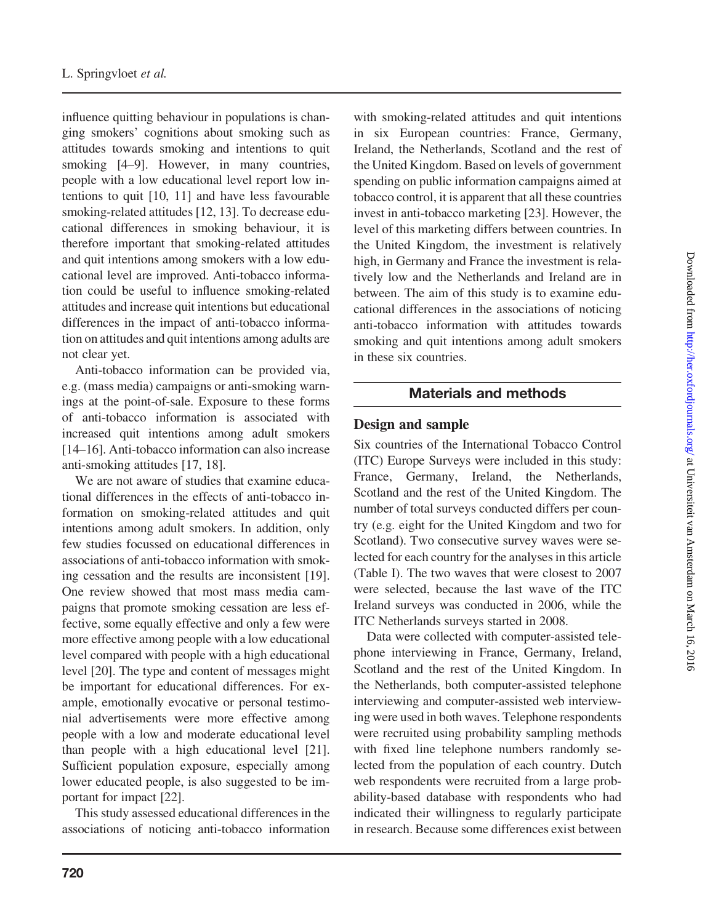influence quitting behaviour in populations is changing smokers' cognitions about smoking such as attitudes towards smoking and intentions to quit smoking [[4–9](#page-11-0)]. However, in many countries, people with a low educational level report low intentions to quit [\[10](#page-11-0), [11](#page-11-0)] and have less favourable smoking-related attitudes [\[12, 13\]](#page-11-0). To decrease educational differences in smoking behaviour, it is therefore important that smoking-related attitudes and quit intentions among smokers with a low educational level are improved. Anti-tobacco information could be useful to influence smoking-related attitudes and increase quit intentions but educational differences in the impact of anti-tobacco information on attitudes and quit intentions among adults are not clear yet.

Anti-tobacco information can be provided via, e.g. (mass media) campaigns or anti-smoking warnings at the point-of-sale. Exposure to these forms of anti-tobacco information is associated with increased quit intentions among adult smokers [\[14–16](#page-11-0)]. Anti-tobacco information can also increase anti-smoking attitudes [\[17, 18\]](#page-11-0).

We are not aware of studies that examine educational differences in the effects of anti-tobacco information on smoking-related attitudes and quit intentions among adult smokers. In addition, only few studies focussed on educational differences in associations of anti-tobacco information with smoking cessation and the results are inconsistent [[19](#page-11-0)]. One review showed that most mass media campaigns that promote smoking cessation are less effective, some equally effective and only a few were more effective among people with a low educational level compared with people with a high educational level [[20\]](#page-12-0). The type and content of messages might be important for educational differences. For example, emotionally evocative or personal testimonial advertisements were more effective among people with a low and moderate educational level than people with a high educational level [[21](#page-12-0)]. Sufficient population exposure, especially among lower educated people, is also suggested to be important for impact [\[22\]](#page-12-0).

This study assessed educational differences in the associations of noticing anti-tobacco information with smoking-related attitudes and quit intentions in six European countries: France, Germany, Ireland, the Netherlands, Scotland and the rest of the United Kingdom. Based on levels of government spending on public information campaigns aimed at tobacco control, it is apparent that all these countries invest in anti-tobacco marketing [[23\]](#page-12-0). However, the level of this marketing differs between countries. In the United Kingdom, the investment is relatively high, in Germany and France the investment is relatively low and the Netherlands and Ireland are in between. The aim of this study is to examine educational differences in the associations of noticing anti-tobacco information with attitudes towards smoking and quit intentions among adult smokers in these six countries.

# Materials and methods

# Design and sample

Six countries of the International Tobacco Control (ITC) Europe Surveys were included in this study: France, Germany, Ireland, the Netherlands, Scotland and the rest of the United Kingdom. The number of total surveys conducted differs per country (e.g. eight for the United Kingdom and two for Scotland). Two consecutive survey waves were selected for each country for the analyses in this article [\(Table I\)](#page-3-0). The two waves that were closest to 2007 were selected, because the last wave of the ITC Ireland surveys was conducted in 2006, while the ITC Netherlands surveys started in 2008.

Data were collected with computer-assisted telephone interviewing in France, Germany, Ireland, Scotland and the rest of the United Kingdom. In the Netherlands, both computer-assisted telephone interviewing and computer-assisted web interviewing were used in both waves. Telephone respondents were recruited using probability sampling methods with fixed line telephone numbers randomly selected from the population of each country. Dutch web respondents were recruited from a large probability-based database with respondents who had indicated their willingness to regularly participate in research. Because some differences exist between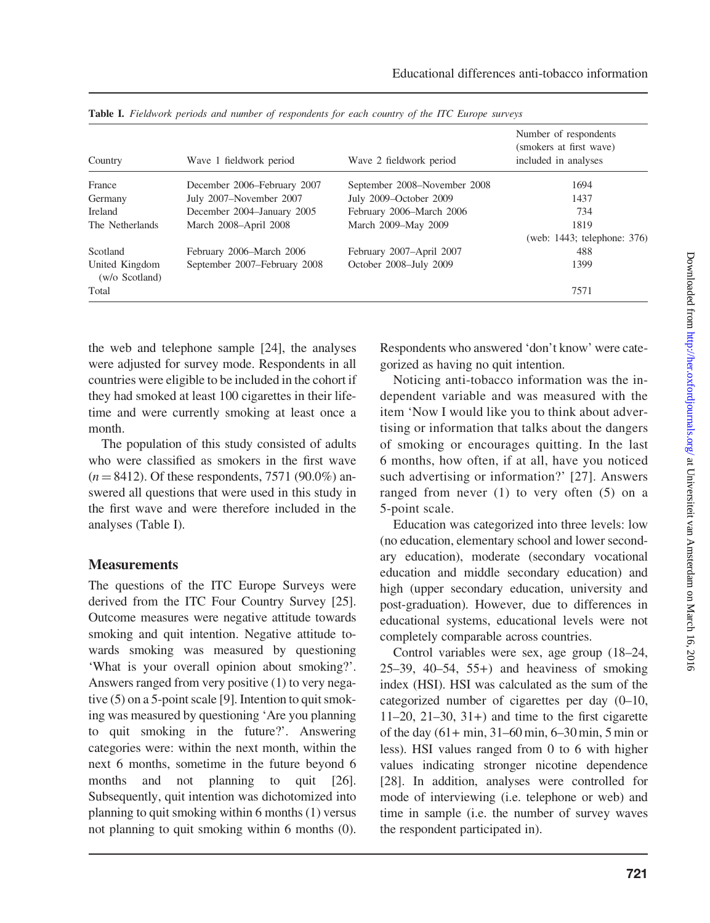<span id="page-3-0"></span>

| Country                          | Wave 1 fieldwork period      | Wave 2 fieldwork period      | Number of respondents<br>(smokers at first wave)<br>included in analyses |
|----------------------------------|------------------------------|------------------------------|--------------------------------------------------------------------------|
| France                           | December 2006–February 2007  | September 2008–November 2008 | 1694                                                                     |
| Germany                          | July 2007-November 2007      | July 2009-October 2009       | 1437                                                                     |
| <b>Ireland</b>                   | December 2004–January 2005   | February 2006–March 2006     | 734                                                                      |
| The Netherlands                  | March 2008-April 2008        | March 2009-May 2009          | 1819                                                                     |
|                                  |                              |                              | (web: 1443; telephone: 376)                                              |
| Scotland                         | February 2006–March 2006     | February 2007–April 2007     | 488                                                                      |
| United Kingdom<br>(w/o Scotland) | September 2007–February 2008 | October 2008-July 2009       | 1399                                                                     |
| Total                            |                              |                              | 7571                                                                     |

Educational differences anti-tobacco information

the web and telephone sample [[24\]](#page-12-0), the analyses were adjusted for survey mode. Respondents in all countries were eligible to be included in the cohort if they had smoked at least 100 cigarettes in their lifetime and were currently smoking at least once a month.

The population of this study consisted of adults who were classified as smokers in the first wave  $(n = 8412)$ . Of these respondents, 7571 (90.0%) answered all questions that were used in this study in the first wave and were therefore included in the analyses (Table I).

### **Measurements**

The questions of the ITC Europe Surveys were derived from the ITC Four Country Survey [[25](#page-12-0)]. Outcome measures were negative attitude towards smoking and quit intention. Negative attitude towards smoking was measured by questioning 'What is your overall opinion about smoking?'. Answers ranged from very positive (1) to very negative (5) on a 5-point scale [[9\]](#page-11-0). Intention to quit smoking was measured by questioning 'Are you planning to quit smoking in the future?'. Answering categories were: within the next month, within the next 6 months, sometime in the future beyond 6 months and not planning to quit [[26](#page-12-0)]. Subsequently, quit intention was dichotomized into planning to quit smoking within 6 months (1) versus not planning to quit smoking within 6 months (0). Respondents who answered 'don't know' were categorized as having no quit intention.

Noticing anti-tobacco information was the independent variable and was measured with the item 'Now I would like you to think about advertising or information that talks about the dangers of smoking or encourages quitting. In the last 6 months, how often, if at all, have you noticed such advertising or information?' [[27](#page-12-0)]. Answers ranged from never (1) to very often (5) on a 5-point scale.

Education was categorized into three levels: low (no education, elementary school and lower secondary education), moderate (secondary vocational education and middle secondary education) and high (upper secondary education, university and post-graduation). However, due to differences in educational systems, educational levels were not completely comparable across countries.

Control variables were sex, age group (18–24, 25–39, 40–54, 55+) and heaviness of smoking index (HSI). HSI was calculated as the sum of the categorized number of cigarettes per day (0–10,  $11-20$ ,  $21-30$ ,  $31+$ ) and time to the first cigarette of the day (61+ min, 31–60 min, 6–30 min, 5 min or less). HSI values ranged from 0 to 6 with higher values indicating stronger nicotine dependence [\[28\]](#page-12-0). In addition, analyses were controlled for mode of interviewing (i.e. telephone or web) and time in sample (i.e. the number of survey waves the respondent participated in).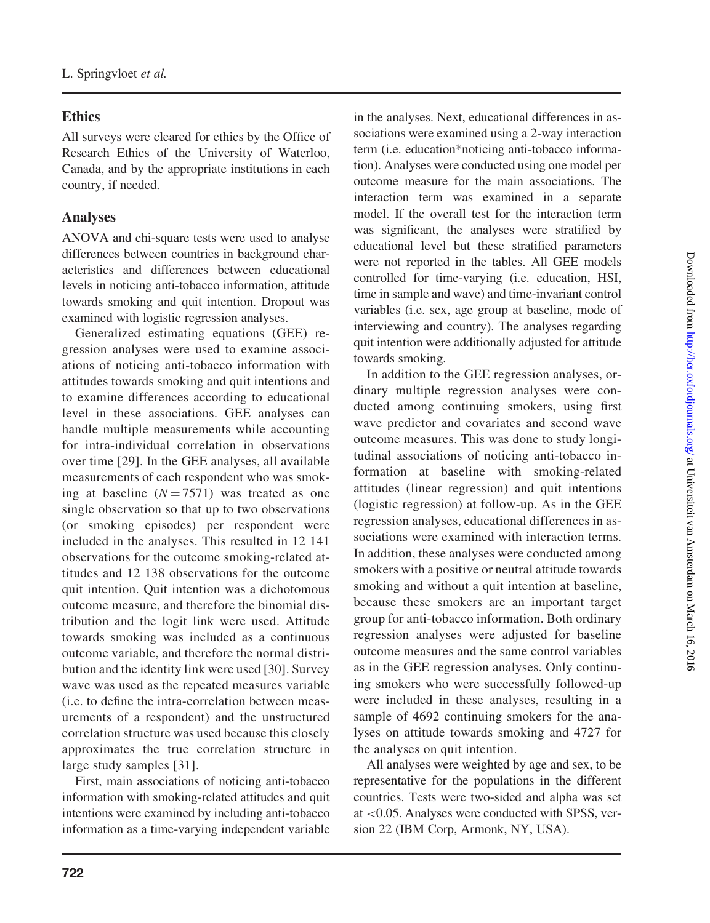# **Ethics**

All surveys were cleared for ethics by the Office of Research Ethics of the University of Waterloo, Canada, and by the appropriate institutions in each country, if needed.

# Analyses

ANOVA and chi-square tests were used to analyse differences between countries in background characteristics and differences between educational levels in noticing anti-tobacco information, attitude towards smoking and quit intention. Dropout was examined with logistic regression analyses.

Generalized estimating equations (GEE) regression analyses were used to examine associations of noticing anti-tobacco information with attitudes towards smoking and quit intentions and to examine differences according to educational level in these associations. GEE analyses can handle multiple measurements while accounting for intra-individual correlation in observations over time [[29](#page-12-0)]. In the GEE analyses, all available measurements of each respondent who was smoking at baseline  $(N = 7571)$  was treated as one single observation so that up to two observations (or smoking episodes) per respondent were included in the analyses. This resulted in 12 141 observations for the outcome smoking-related attitudes and 12 138 observations for the outcome quit intention. Quit intention was a dichotomous outcome measure, and therefore the binomial distribution and the logit link were used. Attitude towards smoking was included as a continuous outcome variable, and therefore the normal distribution and the identity link were used [\[30](#page-12-0)]. Survey wave was used as the repeated measures variable (i.e. to define the intra-correlation between measurements of a respondent) and the unstructured correlation structure was used because this closely approximates the true correlation structure in large study samples [\[31](#page-12-0)].

First, main associations of noticing anti-tobacco information with smoking-related attitudes and quit intentions were examined by including anti-tobacco information as a time-varying independent variable in the analyses. Next, educational differences in associations were examined using a 2-way interaction term (i.e. education\*noticing anti-tobacco information). Analyses were conducted using one model per outcome measure for the main associations. The interaction term was examined in a separate model. If the overall test for the interaction term was significant, the analyses were stratified by educational level but these stratified parameters were not reported in the tables. All GEE models controlled for time-varying (i.e. education, HSI, time in sample and wave) and time-invariant control variables (i.e. sex, age group at baseline, mode of interviewing and country). The analyses regarding quit intention were additionally adjusted for attitude towards smoking.

In addition to the GEE regression analyses, ordinary multiple regression analyses were conducted among continuing smokers, using first wave predictor and covariates and second wave outcome measures. This was done to study longitudinal associations of noticing anti-tobacco information at baseline with smoking-related attitudes (linear regression) and quit intentions (logistic regression) at follow-up. As in the GEE regression analyses, educational differences in associations were examined with interaction terms. In addition, these analyses were conducted among smokers with a positive or neutral attitude towards smoking and without a quit intention at baseline, because these smokers are an important target group for anti-tobacco information. Both ordinary regression analyses were adjusted for baseline outcome measures and the same control variables as in the GEE regression analyses. Only continuing smokers who were successfully followed-up were included in these analyses, resulting in a sample of 4692 continuing smokers for the analyses on attitude towards smoking and 4727 for the analyses on quit intention.

All analyses were weighted by age and sex, to be representative for the populations in the different countries. Tests were two-sided and alpha was set at <0.05. Analyses were conducted with SPSS, version 22 (IBM Corp, Armonk, NY, USA).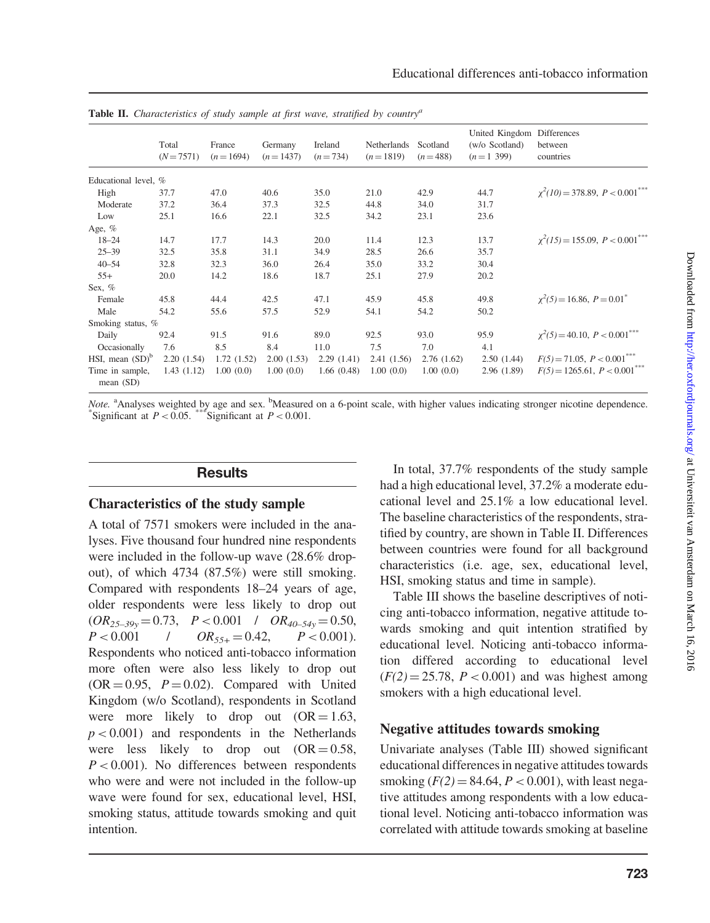|                                | Total<br>$(N = 7571)$ | France<br>$(n=1694)$ | Germany<br>$(n=1437)$ | Ireland<br>$(n=734)$ | Netherlands<br>$(n=1819)$ | Scotland<br>$(n=488)$ | United Kingdom Differences<br>(w/o Scotland)<br>$(n=1, 399)$ | between<br>countries                               |
|--------------------------------|-----------------------|----------------------|-----------------------|----------------------|---------------------------|-----------------------|--------------------------------------------------------------|----------------------------------------------------|
| Educational level, %           |                       |                      |                       |                      |                           |                       |                                                              |                                                    |
| High                           | 37.7                  | 47.0                 | 40.6                  | 35.0                 | 21.0                      | 42.9                  | 44.7                                                         | $\chi^2(10) = 378.89$ , $P < 0.001$ <sup>***</sup> |
| Moderate                       | 37.2                  | 36.4                 | 37.3                  | 32.5                 | 44.8                      | 34.0                  | 31.7                                                         |                                                    |
| Low                            | 25.1                  | 16.6                 | 22.1                  | 32.5                 | 34.2                      | 23.1                  | 23.6                                                         |                                                    |
| Age, $%$                       |                       |                      |                       |                      |                           |                       |                                                              |                                                    |
| $18 - 24$                      | 14.7                  | 17.7                 | 14.3                  | 20.0                 | 11.4                      | 12.3                  | 13.7                                                         | $\chi^2(15) = 155.09$ , $P < 0.001$ ***            |
| $25 - 39$                      | 32.5                  | 35.8                 | 31.1                  | 34.9                 | 28.5                      | 26.6                  | 35.7                                                         |                                                    |
| $40 - 54$                      | 32.8                  | 32.3                 | 36.0                  | 26.4                 | 35.0                      | 33.2                  | 30.4                                                         |                                                    |
| $55+$                          | 20.0                  | 14.2                 | 18.6                  | 18.7                 | 25.1                      | 27.9                  | 20.2                                                         |                                                    |
| Sex, %                         |                       |                      |                       |                      |                           |                       |                                                              |                                                    |
| Female                         | 45.8                  | 44.4                 | 42.5                  | 47.1                 | 45.9                      | 45.8                  | 49.8                                                         | $x^2(5) = 16.86$ , $P = 0.01^*$                    |
| Male                           | 54.2                  | 55.6                 | 57.5                  | 52.9                 | 54.1                      | 54.2                  | 50.2                                                         |                                                    |
| Smoking status, %              |                       |                      |                       |                      |                           |                       |                                                              |                                                    |
| Daily                          | 92.4                  | 91.5                 | 91.6                  | 89.0                 | 92.5                      | 93.0                  | 95.9                                                         | $\chi^2(5) = 40.10$ , $P < 0.001$ <sup>***</sup>   |
| Occasionally                   | 7.6                   | 8.5                  | 8.4                   | 11.0                 | 7.5                       | 7.0                   | 4.1                                                          |                                                    |
| HSI, mean $(SD)^{D}$           | 2.20(1.54)            | 1.72(1.52)           | 2.00(1.53)            | 2.29(1.41)           | 2.41(1.56)                | 2.76(1.62)            | 2.50(1.44)                                                   | $F(5) = 71.05, P < 0.001***$                       |
| Time in sample,<br>mean $(SD)$ | 1.43(1.12)            | 1.00(0.0)            | 1.00(0.0)             | 1.66(0.48)           | 1.00(0.0)                 | 1.00(0.0)             | 2.96(1.89)                                                   | $F(5) = 1265.61, P < 0.001$ ***                    |

**Table II.** Characteristics of study sample at first wave, stratified by country<sup>a</sup>

*Note*. <sup>a</sup> Analyses weighted by age and sex. <sup>b</sup>Measured on a 6-point scale, with higher values indicating stronger nicotine dependence. \*Significant at  $P \ge 0.05$  \*\*\* Significant at  $P \ge 0.001$ Significant at  $P < 0.05$ . \*\*\*Significant at  $P < 0.001$ .

#### **Results**

#### Characteristics of the study sample

A total of 7571 smokers were included in the analyses. Five thousand four hundred nine respondents were included in the follow-up wave (28.6% dropout), of which 4734 (87.5%) were still smoking. Compared with respondents 18–24 years of age, older respondents were less likely to drop out  $(OR_{25-39y}=0.73, P<0.001 / OR_{40-54y}=0.50,$  $P < 0.001$  /  $OR_{55+} = 0.42$ ,  $P < 0.001$ ). Respondents who noticed anti-tobacco information more often were also less likely to drop out  $(OR = 0.95, P = 0.02)$ . Compared with United Kingdom (w/o Scotland), respondents in Scotland were more likely to drop out  $(OR = 1.63,$  $p < 0.001$ ) and respondents in the Netherlands were less likely to drop out  $(OR = 0.58,$  $P < 0.001$ ). No differences between respondents who were and were not included in the follow-up wave were found for sex, educational level, HSI, smoking status, attitude towards smoking and quit intention.

In total, 37.7% respondents of the study sample had a high educational level, 37.2% a moderate educational level and 25.1% a low educational level. The baseline characteristics of the respondents, stratified by country, are shown in Table II. Differences between countries were found for all background characteristics (i.e. age, sex, educational level, HSI, smoking status and time in sample).

[Table III](#page-6-0) shows the baseline descriptives of noticing anti-tobacco information, negative attitude towards smoking and quit intention stratified by educational level. Noticing anti-tobacco information differed according to educational level  $(F(2) = 25.78, P < 0.001)$  and was highest among smokers with a high educational level.

#### Negative attitudes towards smoking

Univariate analyses [\(Table III\)](#page-6-0) showed significant educational differences in negative attitudes towards smoking  $(F(2) = 84.64, P < 0.001)$ , with least negative attitudes among respondents with a low educational level. Noticing anti-tobacco information was correlated with attitude towards smoking at baseline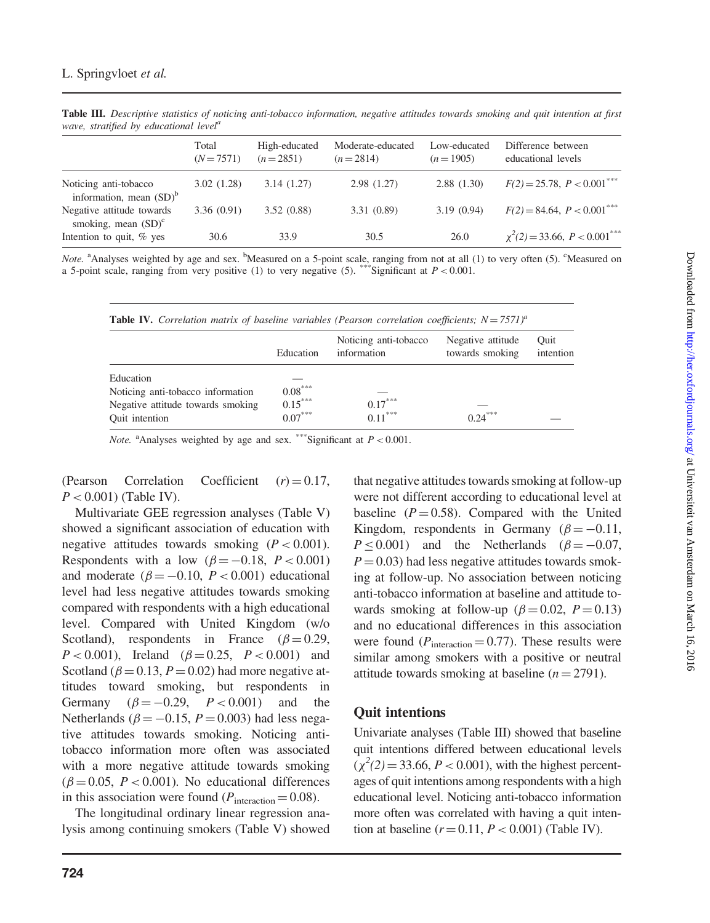| wave, stratified by educational level               |                       |                             |                                 |                            |                                          |  |
|-----------------------------------------------------|-----------------------|-----------------------------|---------------------------------|----------------------------|------------------------------------------|--|
|                                                     | Total<br>$(N = 7571)$ | High-educated<br>$(n=2851)$ | Moderate-educated<br>$(n=2814)$ | Low-educated<br>$(n=1905)$ | Difference between<br>educational levels |  |
| Noticing anti-tobacco<br>information, mean $(SD)^b$ | 3.02(1.28)            | 3.14(1.27)                  | 2.98(1.27)                      | 2.88(1.30)                 | $F(2) = 25.78, P < 0.001$ <sup>***</sup> |  |
| Negative attitude towards<br>smoking, mean $(SD)^c$ | 3.36(0.91)            | 3.52(0.88)                  | 3.31(0.89)                      | 3.19(0.94)                 | $F(2) = 84.64, P < 0.001$ <sup>***</sup> |  |
| Intention to quit, % yes                            | 30.6                  | 33.9                        | 30.5                            | 26.0                       | $\chi^2(2) = 33.66$ , $P < 0.001$ ***    |  |

<span id="page-6-0"></span>Table III. Descriptive statistics of noticing anti-tobacco information, negative attitudes towards smoking and quit intention at first wave, stratified by educational level<sup>a</sup>

Note. <sup>a</sup> Analyses weighted by age and sex. <sup>b</sup>Measured on a 5-point scale, ranging from not at all (1) to very often (5). <sup>c</sup>Measured on a 5-point scale, ranging from very positive (1) to very negative (5). \*\*\* Significant at  $P < 0.001$ .

**Table IV.** Correlation matrix of baseline variables (Pearson correlation coefficients;  $N = 7571$ )<sup>a</sup>

|                                                                                                              | Education                           | Noticing anti-tobacco<br>information | Negative attitude<br>towards smoking | Ouit<br>intention |
|--------------------------------------------------------------------------------------------------------------|-------------------------------------|--------------------------------------|--------------------------------------|-------------------|
| Education<br>Noticing anti-tobacco information<br>Negative attitude towards smoking<br><b>Ouit</b> intention | $0.08***$<br>$0.15***$<br>$0.07***$ | $0.17***$<br>$0.11***$               | $0.24***$                            |                   |

*Note*. <sup>a</sup>Analyses weighted by age and sex. \*\*\* Significant at  $P < 0.001$ .

(Pearson Correlation Coefficient  $(r) = 0.17$ ,  $P < 0.001$ ) (Table IV).

Multivariate GEE regression analyses [\(Table V\)](#page-7-0) showed a significant association of education with negative attitudes towards smoking  $(P < 0.001)$ . Respondents with a low  $(\beta = -0.18, P < 0.001)$ and moderate  $(\beta = -0.10, P < 0.001)$  educational level had less negative attitudes towards smoking compared with respondents with a high educational level. Compared with United Kingdom (w/o Scotland), respondents in France  $(\beta = 0.29,$  $P < 0.001$ ), Ireland ( $\beta = 0.25$ ,  $P < 0.001$ ) and Scotland ( $\beta$  = 0.13, P = 0.02) had more negative attitudes toward smoking, but respondents in Germany  $(\beta = -0.29, P < 0.001)$  and the Netherlands ( $\beta = -0.15$ ,  $P = 0.003$ ) had less negative attitudes towards smoking. Noticing antitobacco information more often was associated with a more negative attitude towards smoking  $(\beta = 0.05, P < 0.001)$ . No educational differences in this association were found ( $P_{\text{interaction}} = 0.08$ ).

The longitudinal ordinary linear regression analysis among continuing smokers ([Table V](#page-7-0)) showed that negative attitudes towards smoking at follow-up were not different according to educational level at baseline  $(P = 0.58)$ . Compared with the United Kingdom, respondents in Germany  $(\beta = -0.11,$  $P \leq 0.001$ ) and the Netherlands ( $\beta = -0.07$ ,  $P = 0.03$ ) had less negative attitudes towards smoking at follow-up. No association between noticing anti-tobacco information at baseline and attitude towards smoking at follow-up ( $\beta = 0.02$ ,  $P = 0.13$ ) and no educational differences in this association were found ( $P_{\text{interaction}} = 0.77$ ). These results were similar among smokers with a positive or neutral attitude towards smoking at baseline  $(n = 2791)$ .

### Quit intentions

Univariate analyses (Table III) showed that baseline quit intentions differed between educational levels  $(\chi^2(2) = 33.66, P < 0.001)$ , with the highest percentages of quit intentions among respondents with a high educational level. Noticing anti-tobacco information more often was correlated with having a quit intention at baseline  $(r = 0.11, P < 0.001)$  (Table IV).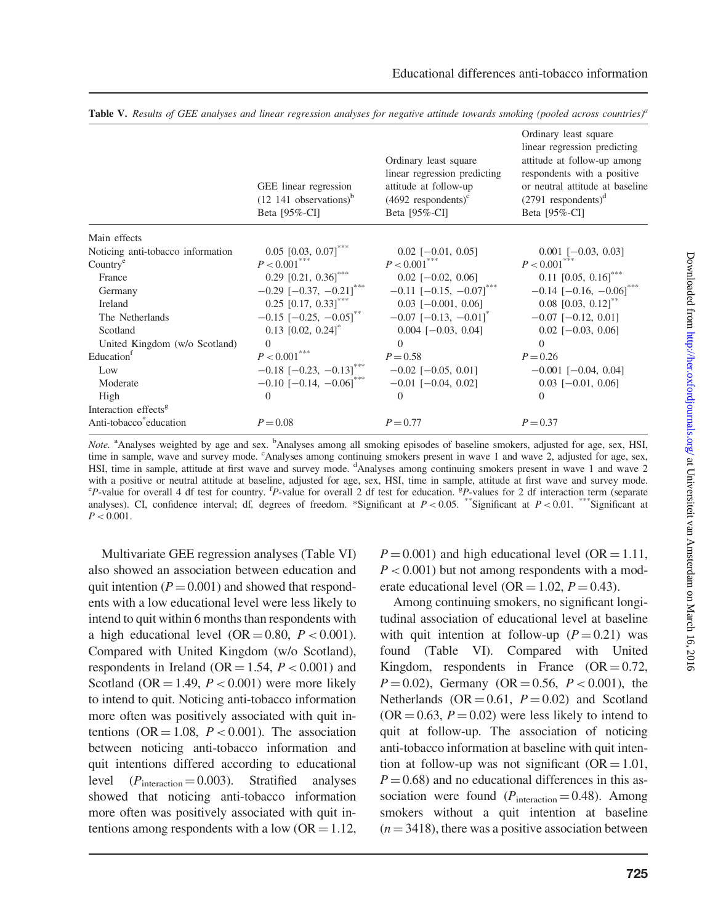|                                   | GEE linear regression<br>$(12\;141\;{\rm observations})^{\rm b}$<br>Beta [95%-CI] | Ordinary least square<br>linear regression predicting<br>attitude at follow-up<br>$(4692$ respondents) <sup>c</sup><br>Beta [95%-CI] | Ordinary least square<br>linear regression predicting<br>attitude at follow-up among<br>respondents with a positive<br>or neutral attitude at baseline<br>$(2791$ respondents) <sup>d</sup><br>Beta [95%-CI] |
|-----------------------------------|-----------------------------------------------------------------------------------|--------------------------------------------------------------------------------------------------------------------------------------|--------------------------------------------------------------------------------------------------------------------------------------------------------------------------------------------------------------|
| Main effects                      |                                                                                   |                                                                                                                                      |                                                                                                                                                                                                              |
| Noticing anti-tobacco information | $0.05$ [0.03, 0.07] <sup>***</sup>                                                | $0.02$ [-0.01, 0.05]                                                                                                                 | $0.001$ [-0.03, 0.03]                                                                                                                                                                                        |
| Country <sup>e</sup>              | $P < 0.001$ ***                                                                   | $P < 0.001$ ***                                                                                                                      | $P < 0.001***$                                                                                                                                                                                               |
| France                            | 0.29 [0.21, 0.36]***                                                              | $0.02$ [-0.02, 0.06]                                                                                                                 | $0.11$ [0.05, 0.16] <sup>***</sup>                                                                                                                                                                           |
| Germany                           | $-0.29$ [ $-0.37, -0.21$ ] <sup>***</sup>                                         | $-0.11$ [ $-0.15, -0.07$ ] <sup>****</sup>                                                                                           | $-0.14$ [ $-0.16$ , $-0.06$ ] <sup>***</sup>                                                                                                                                                                 |
| Ireland                           | $0.25$ [0.17, 0.33] <sup>***</sup>                                                | $0.03$ [-0.001, 0.06]                                                                                                                | $0.08$ [0.03, 0.12] <sup>**</sup>                                                                                                                                                                            |
| The Netherlands                   | $-0.15$ $[-0.25, -0.05]$ <sup>**</sup>                                            | $-0.07$ [ $-0.13$ , $-0.01$ ] <sup>*</sup>                                                                                           | $-0.07$ [ $-0.12$ , 0.01]                                                                                                                                                                                    |
| Scotland                          | $0.13$ [0.02, 0.24] <sup>*</sup>                                                  | $0.004$ [-0.03, 0.04]                                                                                                                | $0.02$ [-0.03, 0.06]                                                                                                                                                                                         |
| United Kingdom (w/o Scotland)     | $\Omega$                                                                          | $\Omega$                                                                                                                             | $\Omega$                                                                                                                                                                                                     |
| Education <sup>f</sup>            | $P < 0.001$ $^{***}$                                                              | $P = 0.58$                                                                                                                           | $P = 0.26$                                                                                                                                                                                                   |
| Low                               | $-0.18$ [ $-0.23, -0.13$ ] <sup>***</sup>                                         | $-0.02$ [ $-0.05$ , 0.01]                                                                                                            | $-0.001$ [ $-0.04$ , 0.04]                                                                                                                                                                                   |
| Moderate                          | $-0.10$ [ $-0.14$ , $-0.06$ ] <sup>****</sup>                                     | $-0.01$ [ $-0.04$ , 0.02]                                                                                                            | $0.03$ [-0.01, 0.06]                                                                                                                                                                                         |
| High                              | $\Omega$                                                                          | $\Omega$                                                                                                                             | $\Omega$                                                                                                                                                                                                     |
| Interaction effects <sup>g</sup>  |                                                                                   |                                                                                                                                      |                                                                                                                                                                                                              |
| Anti-tobacco education            | $P = 0.08$                                                                        | $P = 0.77$                                                                                                                           | $P = 0.37$                                                                                                                                                                                                   |
|                                   |                                                                                   |                                                                                                                                      |                                                                                                                                                                                                              |

<span id="page-7-0"></span>Table V. Results of GEE analyses and linear regression analyses for negative attitude towards smoking (pooled across countries)<sup>a</sup>

Note. <sup>a</sup> Analyses weighted by age and sex. <sup>b</sup> Analyses among all smoking episodes of baseline smokers, adjusted for age, sex, HSI, time in sample, wave and survey mode. CAnalyses among continuing smokers present in wave 1 and wave 2, adjusted for age, sex, HSI, time in sample, attitude at first wave and survey mode. <sup>d</sup>Analyses among continuing smokers present in wave 1 and wave 2 with a positive or neutral attitude at baseline, adjusted for age, sex, HSI, time in sample, attitude at first wave and survey mode. <sup>e</sup>P-value for overall 4 df test for country. <sup>f</sup>P-value for overall 2 df test for education. <sup>§</sup>P-values for 2 df interaction term (separate analyses). CI, confidence interval; df, degrees of freedom. \*Significant at  $P <$  $P < 0.001$ .

Multivariate GEE regression analyses ([Table VI\)](#page-8-0) also showed an association between education and quit intention ( $P = 0.001$ ) and showed that respondents with a low educational level were less likely to intend to quit within 6 months than respondents with a high educational level  $(OR = 0.80, P < 0.001)$ . Compared with United Kingdom (w/o Scotland), respondents in Ireland (OR  $= 1.54$ ,  $P < 0.001$ ) and Scotland (OR = 1.49,  $P < 0.001$ ) were more likely to intend to quit. Noticing anti-tobacco information more often was positively associated with quit intentions ( $OR = 1.08$ ,  $P < 0.001$ ). The association between noticing anti-tobacco information and quit intentions differed according to educational level  $(P_{\text{interaction}} = 0.003)$ . Stratified analyses showed that noticing anti-tobacco information more often was positively associated with quit intentions among respondents with a low  $(OR = 1.12, ...)$ 

 $P = 0.001$ ) and high educational level (OR = 1.11,  $P < 0.001$ ) but not among respondents with a moderate educational level (OR = 1.02,  $P = 0.43$ ).

Among continuing smokers, no significant longitudinal association of educational level at baseline with quit intention at follow-up  $(P = 0.21)$  was found ([Table VI\)](#page-8-0). Compared with United Kingdom, respondents in France  $(OR = 0.72,$  $P = 0.02$ ), Germany (OR = 0.56,  $P < 0.001$ ), the Netherlands (OR  $= 0.61$ ,  $P = 0.02$ ) and Scotland  $(OR = 0.63, P = 0.02)$  were less likely to intend to quit at follow-up. The association of noticing anti-tobacco information at baseline with quit intention at follow-up was not significant ( $OR = 1.01$ ,  $P = 0.68$ ) and no educational differences in this association were found ( $P_{\text{interaction}} = 0.48$ ). Among smokers without a quit intention at baseline  $(n = 3418)$ , there was a positive association between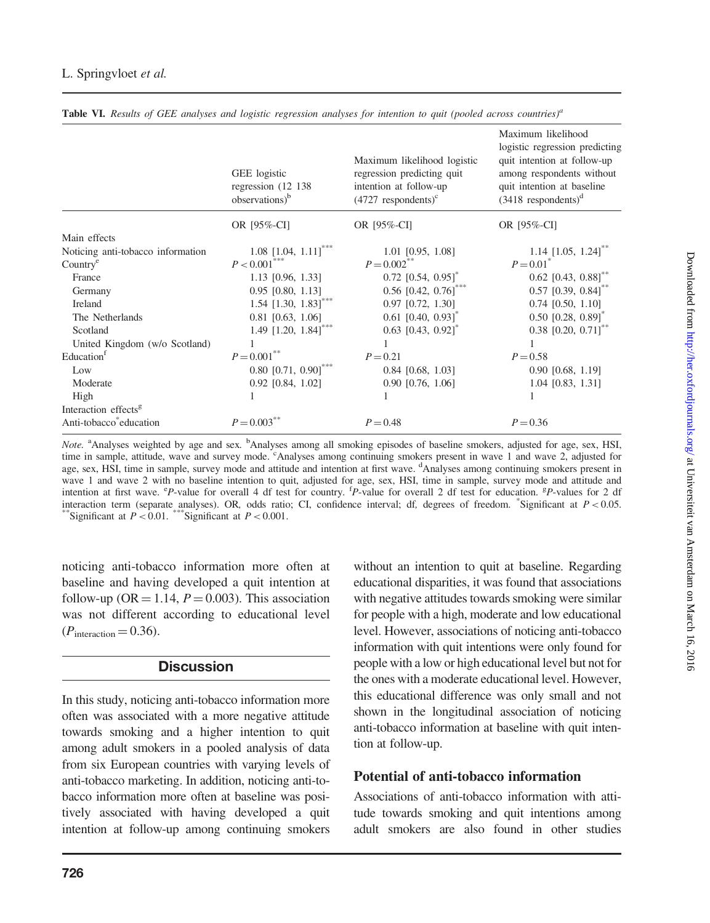|                                     | GEE logistic<br>regression (12 138)<br>observations) <sup>b</sup> | Maximum likelihood logistic<br>regression predicting quit<br>intention at follow-up<br>$(4727$ respondents) <sup>c</sup> | Maximum likelihood<br>logistic regression predicting<br>quit intention at follow-up<br>among respondents without<br>quit intention at baseline<br>$(3418$ respondents) <sup>d</sup> |  |
|-------------------------------------|-------------------------------------------------------------------|--------------------------------------------------------------------------------------------------------------------------|-------------------------------------------------------------------------------------------------------------------------------------------------------------------------------------|--|
|                                     | OR [95%-CI]                                                       | OR [95%-CI]                                                                                                              | OR [95%-CI]                                                                                                                                                                         |  |
| Main effects                        |                                                                   |                                                                                                                          |                                                                                                                                                                                     |  |
| Noticing anti-tobacco information   | $1.08$ $[1.04, 1.11]$ <sup>***</sup>                              | 1.01 [0.95, 1.08]                                                                                                        | $1.14$ [1.05, 1.24] <sup>**</sup>                                                                                                                                                   |  |
| Country <sup>e</sup>                | $P < 0.001$ ***                                                   | $P = 0.002$ <sup>**</sup>                                                                                                | $P = 0.01^*$                                                                                                                                                                        |  |
| France                              | $1.13$ [0.96, 1.33]                                               | $0.72$ [0.54, 0.95] <sup>*</sup>                                                                                         | $0.62$ [0.43, 0.88] <sup>**</sup>                                                                                                                                                   |  |
| Germany                             | $0.95$ [0.80, 1.13]                                               | $0.56$ [0.42, 0.76] <sup>***</sup>                                                                                       | $0.57$ [0.39, 0.84] <sup>**</sup>                                                                                                                                                   |  |
| Ireland                             | $1.54$ [1.30, 1.83] <sup>***</sup>                                | $0.97$ [0.72, 1.30]                                                                                                      | $0.74$ [0.50, 1.10]                                                                                                                                                                 |  |
| The Netherlands                     | $0.81$ [0.63, 1.06]                                               | $0.61$ [0.40, 0.93] <sup>*</sup>                                                                                         | $0.50$ [0.28, $0.89$ ] <sup>*</sup>                                                                                                                                                 |  |
| Scotland                            | 1.49 $[1.20, 1.84]$ ***                                           | $0.63$ [0.43, 0.92] <sup>*</sup>                                                                                         | $0.38$ [0.20, 0.71] <sup>**</sup>                                                                                                                                                   |  |
| United Kingdom (w/o Scotland)       |                                                                   | 1                                                                                                                        | 1                                                                                                                                                                                   |  |
| Education <sup>f</sup>              | $P = 0.001$ <sup>**</sup>                                         | $P = 0.21$                                                                                                               | $P = 0.58$                                                                                                                                                                          |  |
| Low                                 | $0.80\,$ $[0.71,\,0.90]^{***}$                                    | $0.84$ [0.68, 1.03]                                                                                                      | $0.90$ [0.68, 1.19]                                                                                                                                                                 |  |
| Moderate                            | $0.92$ [0.84, 1.02]                                               | $0.90$ [0.76, 1.06]                                                                                                      | 1.04 [0.83, 1.31]                                                                                                                                                                   |  |
| High                                |                                                                   |                                                                                                                          |                                                                                                                                                                                     |  |
| Interaction effects <sup>g</sup>    |                                                                   |                                                                                                                          |                                                                                                                                                                                     |  |
| Anti-tobacco <sup>®</sup> education | $P = 0.003$ <sup>**</sup>                                         | $P = 0.48$                                                                                                               | $P = 0.36$                                                                                                                                                                          |  |

<span id="page-8-0"></span>Table VI. Results of GEE analyses and logistic regression analyses for intention to quit (pooled across countries)<sup>a</sup>

Note. <sup>a</sup> Analyses weighted by age and sex. <sup>b</sup> Analyses among all smoking episodes of baseline smokers, adjusted for age, sex, HSI, time in sample, attitude, wave and survey mode. <sup>c</sup>Analyses among continuing smokers present in wave 1 and wave 2, adjusted for age, sex, HSI, time in sample, survey mode and attitude and intention at first wave. <sup>d</sup>Analyses among continuing smokers present in wave 1 and wave 2 with no baseline intention to quit, adjusted for age, sex, HSI, time in sample, survey mode and attitude and intention at first wave. <sup>e</sup>P-value for overall 4 df test for country. <sup>f</sup>P-value for overall 2 df test for education. <sup>g</sup>P-values for 2 df interaction term (separate analyses). OR, odds ratio; CI, confidence interval; df, degrees of freedom. \*Significant at  $P < 0.05$ . \*\*Significant at  $P < 0.01$ . \*\*\*Significant at  $P < 0.001$ .

noticing anti-tobacco information more often at baseline and having developed a quit intention at follow-up ( $OR = 1.14$ ,  $P = 0.003$ ). This association was not different according to educational level  $(P_{\text{interaction}} = 0.36)$ .

### **Discussion**

In this study, noticing anti-tobacco information more often was associated with a more negative attitude towards smoking and a higher intention to quit among adult smokers in a pooled analysis of data from six European countries with varying levels of anti-tobacco marketing. In addition, noticing anti-tobacco information more often at baseline was positively associated with having developed a quit intention at follow-up among continuing smokers

without an intention to quit at baseline. Regarding educational disparities, it was found that associations with negative attitudes towards smoking were similar for people with a high, moderate and low educational level. However, associations of noticing anti-tobacco information with quit intentions were only found for people with a low or high educational level but not for the ones with a moderate educational level. However, this educational difference was only small and not shown in the longitudinal association of noticing anti-tobacco information at baseline with quit intention at follow-up.

### Potential of anti-tobacco information

Associations of anti-tobacco information with attitude towards smoking and quit intentions among adult smokers are also found in other studies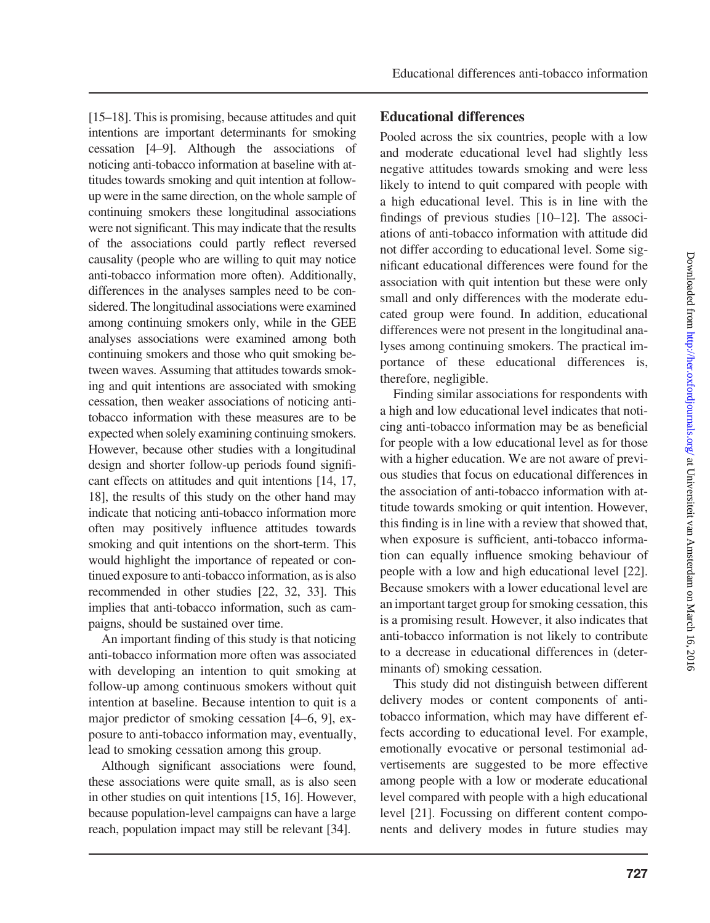Downloaded from http://her.oxfordjournals.org/ at Universiteit van Amsterdam on March 16, 2016 Downloaded from <http://her.oxfordjournals.org/> at Universiteit van Amsterdam on March 16, 2016

[\[15–18\]](#page-11-0). This is promising, because attitudes and quit intentions are important determinants for smoking cessation [\[4–9\]](#page-11-0). Although the associations of noticing anti-tobacco information at baseline with attitudes towards smoking and quit intention at followup were in the same direction, on the whole sample of continuing smokers these longitudinal associations were not significant. This may indicate that the results of the associations could partly reflect reversed causality (people who are willing to quit may notice anti-tobacco information more often). Additionally, differences in the analyses samples need to be considered. The longitudinal associations were examined among continuing smokers only, while in the GEE analyses associations were examined among both continuing smokers and those who quit smoking between waves. Assuming that attitudes towards smoking and quit intentions are associated with smoking cessation, then weaker associations of noticing antitobacco information with these measures are to be expected when solely examining continuing smokers. However, because other studies with a longitudinal design and shorter follow-up periods found significant effects on attitudes and quit intentions [\[14](#page-11-0), [17,](#page-11-0) [18](#page-11-0)], the results of this study on the other hand may indicate that noticing anti-tobacco information more often may positively influence attitudes towards smoking and quit intentions on the short-term. This would highlight the importance of repeated or continued exposure to anti-tobacco information, as is also recommended in other studies [\[22](#page-12-0), [32](#page-12-0), [33](#page-12-0)]. This implies that anti-tobacco information, such as campaigns, should be sustained over time.

An important finding of this study is that noticing anti-tobacco information more often was associated with developing an intention to quit smoking at follow-up among continuous smokers without quit intention at baseline. Because intention to quit is a major predictor of smoking cessation [\[4–6, 9](#page-11-0)], exposure to anti-tobacco information may, eventually, lead to smoking cessation among this group.

Although significant associations were found, these associations were quite small, as is also seen in other studies on quit intentions [[15](#page-11-0), [16](#page-11-0)]. However, because population-level campaigns can have a large reach, population impact may still be relevant [[34](#page-12-0)].

### Educational differences

Pooled across the six countries, people with a low and moderate educational level had slightly less negative attitudes towards smoking and were less likely to intend to quit compared with people with a high educational level. This is in line with the findings of previous studies [\[10–12](#page-11-0)]. The associations of anti-tobacco information with attitude did not differ according to educational level. Some significant educational differences were found for the association with quit intention but these were only small and only differences with the moderate educated group were found. In addition, educational differences were not present in the longitudinal analyses among continuing smokers. The practical importance of these educational differences is, therefore, negligible.

Finding similar associations for respondents with a high and low educational level indicates that noticing anti-tobacco information may be as beneficial for people with a low educational level as for those with a higher education. We are not aware of previous studies that focus on educational differences in the association of anti-tobacco information with attitude towards smoking or quit intention. However, this finding is in line with a review that showed that, when exposure is sufficient, anti-tobacco information can equally influence smoking behaviour of people with a low and high educational level [[22](#page-12-0)]. Because smokers with a lower educational level are an important target group for smoking cessation, this is a promising result. However, it also indicates that anti-tobacco information is not likely to contribute to a decrease in educational differences in (determinants of) smoking cessation.

This study did not distinguish between different delivery modes or content components of antitobacco information, which may have different effects according to educational level. For example, emotionally evocative or personal testimonial advertisements are suggested to be more effective among people with a low or moderate educational level compared with people with a high educational level [\[21\]](#page-12-0). Focussing on different content components and delivery modes in future studies may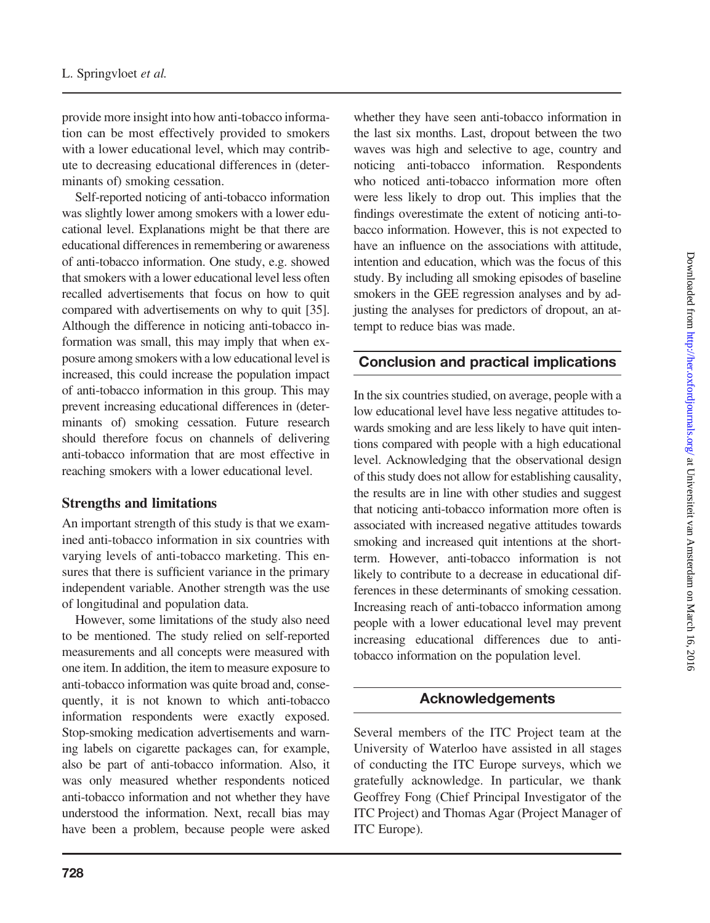provide more insight into how anti-tobacco information can be most effectively provided to smokers with a lower educational level, which may contribute to decreasing educational differences in (determinants of) smoking cessation.

Self-reported noticing of anti-tobacco information was slightly lower among smokers with a lower educational level. Explanations might be that there are educational differences in remembering or awareness of anti-tobacco information. One study, e.g. showed that smokers with a lower educational level less often recalled advertisements that focus on how to quit compared with advertisements on why to quit [\[35](#page-12-0)]. Although the difference in noticing anti-tobacco information was small, this may imply that when exposure among smokers with a low educational level is increased, this could increase the population impact of anti-tobacco information in this group. This may prevent increasing educational differences in (determinants of) smoking cessation. Future research should therefore focus on channels of delivering anti-tobacco information that are most effective in reaching smokers with a lower educational level.

# Strengths and limitations

An important strength of this study is that we examined anti-tobacco information in six countries with varying levels of anti-tobacco marketing. This ensures that there is sufficient variance in the primary independent variable. Another strength was the use of longitudinal and population data.

However, some limitations of the study also need to be mentioned. The study relied on self-reported measurements and all concepts were measured with one item. In addition, the item to measure exposure to anti-tobacco information was quite broad and, consequently, it is not known to which anti-tobacco information respondents were exactly exposed. Stop-smoking medication advertisements and warning labels on cigarette packages can, for example, also be part of anti-tobacco information. Also, it was only measured whether respondents noticed anti-tobacco information and not whether they have understood the information. Next, recall bias may have been a problem, because people were asked

whether they have seen anti-tobacco information in the last six months. Last, dropout between the two waves was high and selective to age, country and noticing anti-tobacco information. Respondents who noticed anti-tobacco information more often were less likely to drop out. This implies that the findings overestimate the extent of noticing anti-tobacco information. However, this is not expected to have an influence on the associations with attitude, intention and education, which was the focus of this study. By including all smoking episodes of baseline smokers in the GEE regression analyses and by adjusting the analyses for predictors of dropout, an attempt to reduce bias was made.

# Conclusion and practical implications

In the six countries studied, on average, people with a low educational level have less negative attitudes towards smoking and are less likely to have quit intentions compared with people with a high educational level. Acknowledging that the observational design of this study does not allow for establishing causality, the results are in line with other studies and suggest that noticing anti-tobacco information more often is associated with increased negative attitudes towards smoking and increased quit intentions at the shortterm. However, anti-tobacco information is not likely to contribute to a decrease in educational differences in these determinants of smoking cessation. Increasing reach of anti-tobacco information among people with a lower educational level may prevent increasing educational differences due to antitobacco information on the population level.

# Acknowledgements

Several members of the ITC Project team at the University of Waterloo have assisted in all stages of conducting the ITC Europe surveys, which we gratefully acknowledge. In particular, we thank Geoffrey Fong (Chief Principal Investigator of the ITC Project) and Thomas Agar (Project Manager of ITC Europe).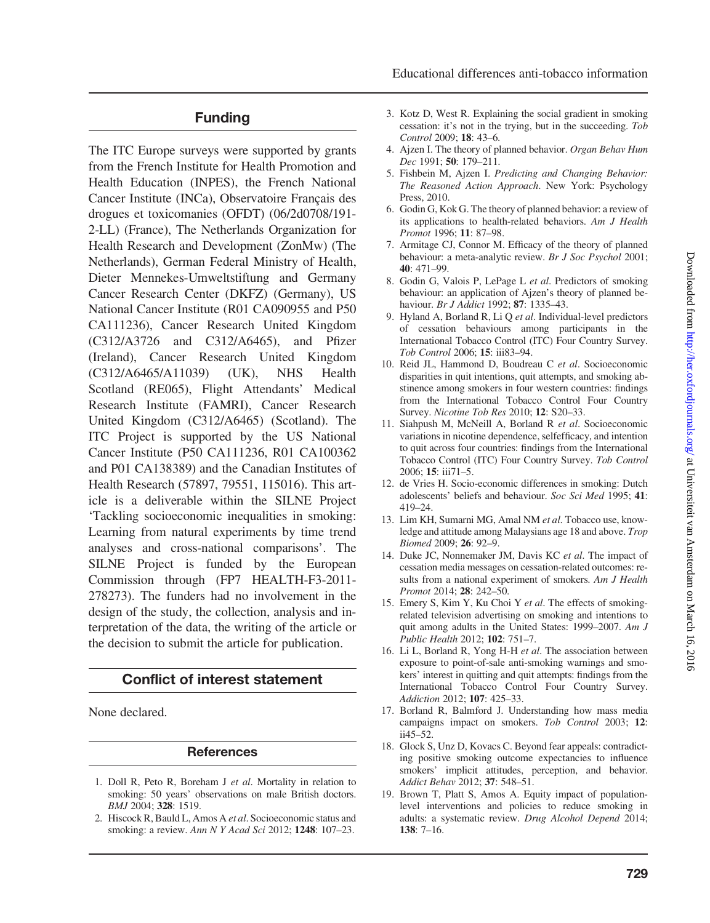# Funding

<span id="page-11-0"></span>The ITC Europe surveys were supported by grants from the French Institute for Health Promotion and Health Education (INPES), the French National Cancer Institute (INCa), Observatoire Français des drogues et toxicomanies (OFDT) (06/2d0708/191- 2-LL) (France), The Netherlands Organization for Health Research and Development (ZonMw) (The Netherlands), German Federal Ministry of Health, Dieter Mennekes-Umweltstiftung and Germany Cancer Research Center (DKFZ) (Germany), US National Cancer Institute (R01 CA090955 and P50 CA111236), Cancer Research United Kingdom (C312/A3726 and C312/A6465), and Pfizer (Ireland), Cancer Research United Kingdom (C312/A6465/A11039) (UK), NHS Health Scotland (RE065), Flight Attendants' Medical Research Institute (FAMRI), Cancer Research United Kingdom (C312/A6465) (Scotland). The ITC Project is supported by the US National Cancer Institute (P50 CA111236, R01 CA100362 and P01 CA138389) and the Canadian Institutes of Health Research (57897, 79551, 115016). This article is a deliverable within the SILNE Project 'Tackling socioeconomic inequalities in smoking: Learning from natural experiments by time trend analyses and cross-national comparisons'. The SILNE Project is funded by the European Commission through (FP7 HEALTH-F3-2011- 278273). The funders had no involvement in the design of the study, the collection, analysis and interpretation of the data, the writing of the article or the decision to submit the article for publication.

# Conflict of interest statement

None declared.

#### References

- 1. Doll R, Peto R, Boreham J et al. Mortality in relation to smoking: 50 years' observations on male British doctors. BMJ 2004; 328: 1519.
- 2. Hiscock R, Bauld L, Amos A et al. Socioeconomic status and smoking: a review. Ann N Y Acad Sci 2012; 1248: 107-23.
- 3. Kotz D, West R. Explaining the social gradient in smoking cessation: it's not in the trying, but in the succeeding. Tob Control 2009; 18: 43–6.
- 4. Ajzen I. The theory of planned behavior. Organ Behav Hum Dec 1991; **50**: 179-211.
- 5. Fishbein M, Ajzen I. Predicting and Changing Behavior: The Reasoned Action Approach. New York: Psychology Press, 2010.
- 6. Godin G, Kok G. The theory of planned behavior: a review of its applications to health-related behaviors. Am J Health Promot 1996; 11: 87–98.
- 7. Armitage CJ, Connor M. Efficacy of the theory of planned behaviour: a meta-analytic review. Br J Soc Psychol 2001; 40: 471–99.
- 8. Godin G, Valois P, LePage L et al. Predictors of smoking behaviour: an application of Ajzen's theory of planned behaviour. Br J Addict 1992; 87: 1335–43.
- 9. Hyland A, Borland R, Li Q et al. Individual-level predictors of cessation behaviours among participants in the International Tobacco Control (ITC) Four Country Survey. Tob Control 2006; 15: iii83–94.
- 10. Reid JL, Hammond D, Boudreau C et al. Socioeconomic disparities in quit intentions, quit attempts, and smoking abstinence among smokers in four western countries: findings from the International Tobacco Control Four Country Survey. Nicotine Tob Res 2010; 12: S20–33.
- 11. Siahpush M, McNeill A, Borland R et al. Socioeconomic variations in nicotine dependence, selfefficacy, and intention to quit across four countries: findings from the International Tobacco Control (ITC) Four Country Survey. Tob Control 2006; 15: iii71–5.
- 12. de Vries H. Socio-economic differences in smoking: Dutch adolescents' beliefs and behaviour. Soc Sci Med 1995; 41: 419–24.
- 13. Lim KH, Sumarni MG, Amal NM et al. Tobacco use, knowledge and attitude among Malaysians age 18 and above. Trop Biomed 2009; 26: 92–9.
- 14. Duke JC, Nonnemaker JM, Davis KC et al. The impact of cessation media messages on cessation-related outcomes: results from a national experiment of smokers. Am J Health Promot 2014; 28: 242–50.
- 15. Emery S, Kim Y, Ku Choi Y et al. The effects of smokingrelated television advertising on smoking and intentions to quit among adults in the United States:  $1999-2007$ . Am J Public Health 2012; 102: 751–7.
- 16. Li L, Borland R, Yong H-H et al. The association between exposure to point-of-sale anti-smoking warnings and smokers' interest in quitting and quit attempts: findings from the International Tobacco Control Four Country Survey. Addiction 2012; 107: 425–33.
- 17. Borland R, Balmford J. Understanding how mass media campaigns impact on smokers. Tob Control 2003; 12: ii45–52.
- 18. Glock S, Unz D, Kovacs C. Beyond fear appeals: contradicting positive smoking outcome expectancies to influence smokers' implicit attitudes, perception, and behavior. Addict Behav 2012; 37: 548–51.
- 19. Brown T, Platt S, Amos A. Equity impact of populationlevel interventions and policies to reduce smoking in adults: a systematic review. Drug Alcohol Depend 2014; 138: 7–16.